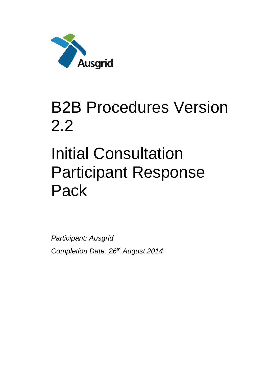

## B2B Procedures Version 2.2

# Initial Consultation Participant Response Pack

*Participant: Ausgrid Completion Date: 26th August 2014*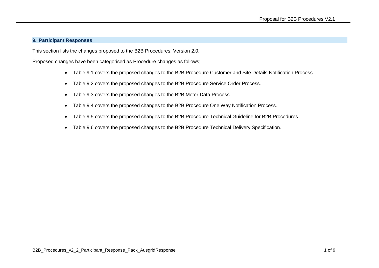#### **9. Participant Responses**

This section lists the changes proposed to the B2B Procedures: Version 2.0.

Proposed changes have been categorised as Procedure changes as follows;

- Table 9.1 covers the proposed changes to the B2B Procedure Customer and Site Details Notification Process.
- Table 9.2 covers the proposed changes to the B2B Procedure Service Order Process.
- Table 9.3 covers the proposed changes to the B2B Meter Data Process.
- Table 9.4 covers the proposed changes to the B2B Procedure One Way Notification Process.
- Table 9.5 covers the proposed changes to the B2B Procedure Technical Guideline for B2B Procedures.
- Table 9.6 covers the proposed changes to the B2B Procedure Technical Delivery Specification.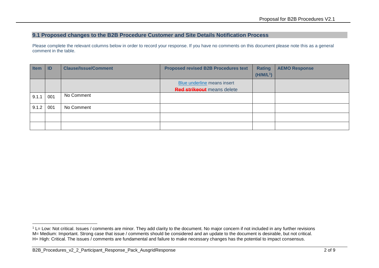### **9.1 Proposed changes to the B2B Procedure Customer and Site Details Notification Process**

| <b>Item</b> | ID  | <b>Clause/Issue/Comment</b> | <b>Proposed revised B2B Procedures text</b> | <b>Rating</b><br>$(H/M/L^1)$ | <b>AEMO Response</b> |
|-------------|-----|-----------------------------|---------------------------------------------|------------------------------|----------------------|
|             |     |                             | Blue underline means insert                 |                              |                      |
|             |     |                             | <b>Red strikeout</b> means delete           |                              |                      |
| 9.1.1       | 001 | No Comment                  |                                             |                              |                      |
| 9.1.2       | 001 | No Comment                  |                                             |                              |                      |
|             |     |                             |                                             |                              |                      |
|             |     |                             |                                             |                              |                      |

<sup>-</sup> $1$  L= Low: Not critical. Issues / comments are minor. They add clarity to the document. No major concern if not included in any further revisions M= Medium: Important. Strong case that issue / comments should be considered and an update to the document is desirable, but not critical. H= High: Critical. The issues / comments are fundamental and failure to make necessary changes has the potential to impact consensus.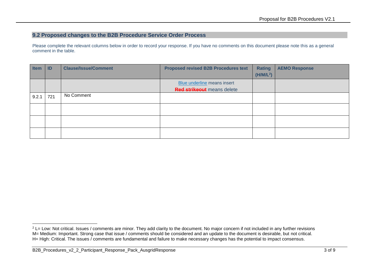#### **9.2 Proposed changes to the B2B Procedure Service Order Process**

| <b>Item</b> | ID  | <b>Clause/Issue/Comment</b> | <b>Proposed revised B2B Procedures text</b>                      | <b>Rating</b><br>(H/M/L <sup>2</sup> ) | <b>AEMO Response</b> |
|-------------|-----|-----------------------------|------------------------------------------------------------------|----------------------------------------|----------------------|
|             |     |                             | Blue underline means insert<br><b>Red strikeout</b> means delete |                                        |                      |
| 9.2.1       | 721 | No Comment                  |                                                                  |                                        |                      |
|             |     |                             |                                                                  |                                        |                      |
|             |     |                             |                                                                  |                                        |                      |
|             |     |                             |                                                                  |                                        |                      |

<sup>-</sup><sup>2</sup> L= Low: Not critical. Issues / comments are minor. They add clarity to the document. No major concern if not included in any further revisions M= Medium: Important. Strong case that issue / comments should be considered and an update to the document is desirable, but not critical. H= High: Critical. The issues / comments are fundamental and failure to make necessary changes has the potential to impact consensus.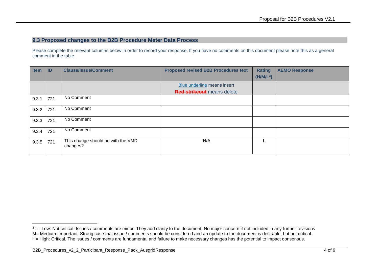#### **9.3 Proposed changes to the B2B Procedure Meter Data Process**

| <b>Item</b> | ID  | <b>Clause/Issue/Comment</b>                    | <b>Proposed revised B2B Procedures text</b> | <b>Rating</b><br>$(H/M/L^3)$ | <b>AEMO Response</b> |
|-------------|-----|------------------------------------------------|---------------------------------------------|------------------------------|----------------------|
|             |     |                                                | Blue underline means insert                 |                              |                      |
|             |     |                                                | <b>Red strikeout</b> means delete           |                              |                      |
| 9.3.1       | 721 | No Comment                                     |                                             |                              |                      |
| 9.3.2       | 721 | No Comment                                     |                                             |                              |                      |
| 9.3.3       | 721 | No Comment                                     |                                             |                              |                      |
| 9.3.4       | 721 | No Comment                                     |                                             |                              |                      |
| 9.3.5       | 721 | This change should be with the VMD<br>changes? | N/A                                         |                              |                      |

<sup>-</sup><sup>3</sup> L= Low: Not critical. Issues / comments are minor. They add clarity to the document. No major concern if not included in any further revisions M= Medium: Important. Strong case that issue / comments should be considered and an update to the document is desirable, but not critical. H= High: Critical. The issues / comments are fundamental and failure to make necessary changes has the potential to impact consensus.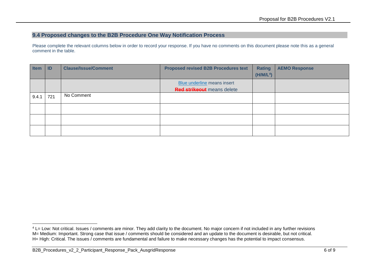### **9.4 Proposed changes to the B2B Procedure One Way Notification Process**

Please complete the relevant columns below in order to record your response. If you have no comments on this document please note this as a general comment in the table.

| <b>Item</b> | ID  | <b>Clause/Issue/Comment</b> | <b>Proposed revised B2B Procedures text</b> | <b>Rating</b>         | <b>AEMO Response</b> |
|-------------|-----|-----------------------------|---------------------------------------------|-----------------------|----------------------|
|             |     |                             |                                             | (H/M/L <sup>4</sup> ) |                      |
|             |     |                             | Blue underline means insert                 |                       |                      |
|             |     |                             | <b>Red strikeout</b> means delete           |                       |                      |
| 9.4.1       | 721 | No Comment                  |                                             |                       |                      |
|             |     |                             |                                             |                       |                      |
|             |     |                             |                                             |                       |                      |
|             |     |                             |                                             |                       |                      |

-

<sup>&</sup>lt;sup>4</sup> L= Low: Not critical. Issues / comments are minor. They add clarity to the document. No major concern if not included in any further revisions M= Medium: Important. Strong case that issue / comments should be considered and an update to the document is desirable, but not critical. H= High: Critical. The issues / comments are fundamental and failure to make necessary changes has the potential to impact consensus.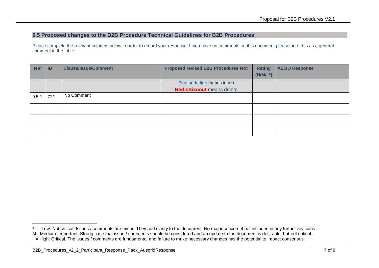#### **9.5 Proposed changes to the B2B Procedure Technical Guidelines for B2B Procedures**

| <b>Item</b> | <b>ID</b> | <b>Clause/Issue/Comment</b> | <b>Proposed revised B2B Procedures text</b>                      | <b>Rating</b><br>(H/M/L <sup>5</sup> ) | <b>AEMO Response</b> |
|-------------|-----------|-----------------------------|------------------------------------------------------------------|----------------------------------------|----------------------|
|             |           |                             | Blue underline means insert<br><b>Red strikeout</b> means delete |                                        |                      |
| 9.5.1       | 721       | No Comment                  |                                                                  |                                        |                      |
|             |           |                             |                                                                  |                                        |                      |
|             |           |                             |                                                                  |                                        |                      |
|             |           |                             |                                                                  |                                        |                      |

<sup>-</sup> $5$  L= Low: Not critical. Issues / comments are minor. They add clarity to the document. No major concern if not included in any further revisions M= Medium: Important. Strong case that issue / comments should be considered and an update to the document is desirable, but not critical. H= High: Critical. The issues / comments are fundamental and failure to make necessary changes has the potential to impact consensus.